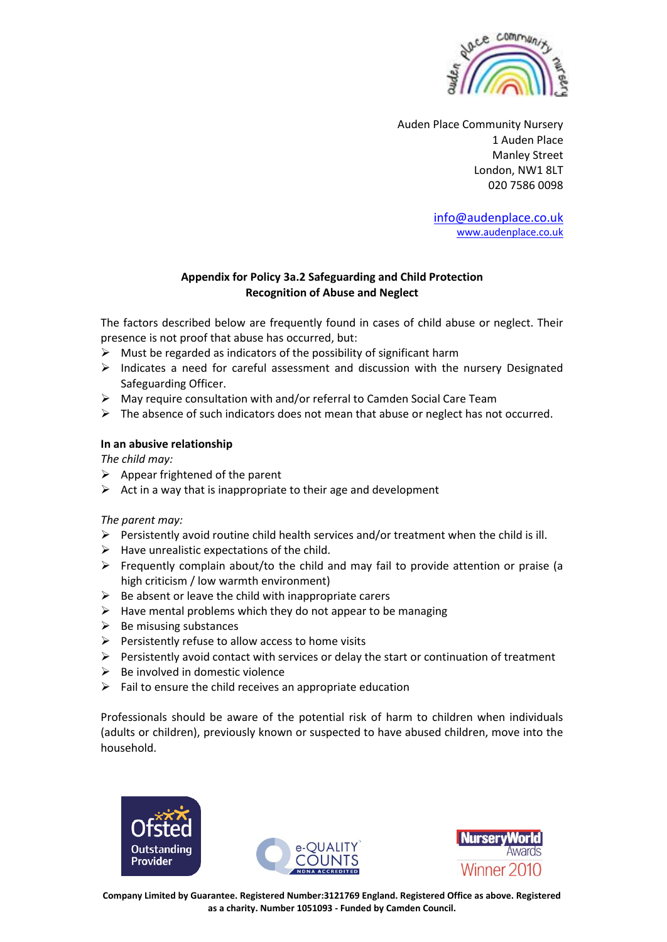

Auden Place Community Nursery 1 Auden Place Manley Street London, NW1 8LT 020 7586 0098

> [info@audenplace.co.uk](mailto:audenplace@btconnect.com) [www.audenplace.co.uk](http://www.audenplace.co.uk/)

## **Appendix for Policy 3a.2 Safeguarding and Child Protection Recognition of Abuse and Neglect**

The factors described below are frequently found in cases of child abuse or neglect. Their presence is not proof that abuse has occurred, but:

- $\triangleright$  Must be regarded as indicators of the possibility of significant harm
- $\triangleright$  Indicates a need for careful assessment and discussion with the nursery Designated Safeguarding Officer.
- ➢ May require consultation with and/or referral to Camden Social Care Team
- $\triangleright$  The absence of such indicators does not mean that abuse or neglect has not occurred.

### **In an abusive relationship**

*The child may:*

- $\triangleright$  Appear frightened of the parent
- $\triangleright$  Act in a way that is inappropriate to their age and development

*The parent may:*

- $\triangleright$  Persistently avoid routine child health services and/or treatment when the child is ill.
- $\triangleright$  Have unrealistic expectations of the child.
- $\triangleright$  Frequently complain about/to the child and may fail to provide attention or praise (a high criticism / low warmth environment)
- $\triangleright$  Be absent or leave the child with inappropriate carers
- $\triangleright$  Have mental problems which they do not appear to be managing
- $\triangleright$  Be misusing substances
- ➢ Persistently refuse to allow access to home visits
- $\triangleright$  Persistently avoid contact with services or delay the start or continuation of treatment
- $\triangleright$  Be involved in domestic violence
- $\triangleright$  Fail to ensure the child receives an appropriate education

Professionals should be aware of the potential risk of harm to children when individuals (adults or children), previously known or suspected to have abused children, move into the household.





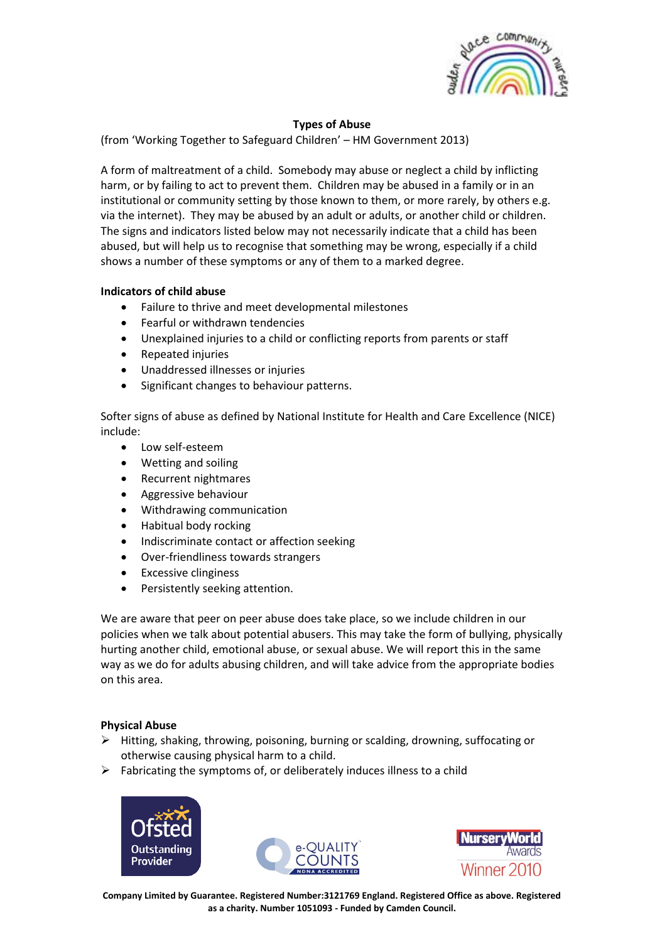

# **Types of Abuse**

(from 'Working Together to Safeguard Children' – HM Government 2013)

A form of maltreatment of a child. Somebody may abuse or neglect a child by inflicting harm, or by failing to act to prevent them. Children may be abused in a family or in an institutional or community setting by those known to them, or more rarely, by others e.g. via the internet). They may be abused by an adult or adults, or another child or children. The signs and indicators listed below may not necessarily indicate that a child has been abused, but will help us to recognise that something may be wrong, especially if a child shows a number of these symptoms or any of them to a marked degree.

## **Indicators of child abuse**

- Failure to thrive and meet developmental milestones
- Fearful or withdrawn tendencies
- Unexplained injuries to a child or conflicting reports from parents or staff
- Repeated injuries
- Unaddressed illnesses or injuries
- Significant changes to behaviour patterns.

Softer signs of abuse as defined by National Institute for Health and Care Excellence (NICE) include:

- Low self-esteem
- Wetting and soiling
- Recurrent nightmares
- Aggressive behaviour
- Withdrawing communication
- Habitual body rocking
- Indiscriminate contact or affection seeking
- Over-friendliness towards strangers
- **Excessive clinginess**
- Persistently seeking attention.

We are aware that peer on peer abuse does take place, so we include children in our policies when we talk about potential abusers. This may take the form of bullying, physically hurting another child, emotional abuse, or sexual abuse. We will report this in the same way as we do for adults abusing children, and will take advice from the appropriate bodies on this area.

### **Physical Abuse**

- $\triangleright$  Hitting, shaking, throwing, poisoning, burning or scalding, drowning, suffocating or otherwise causing physical harm to a child.
- $\triangleright$  Fabricating the symptoms of, or deliberately induces illness to a child





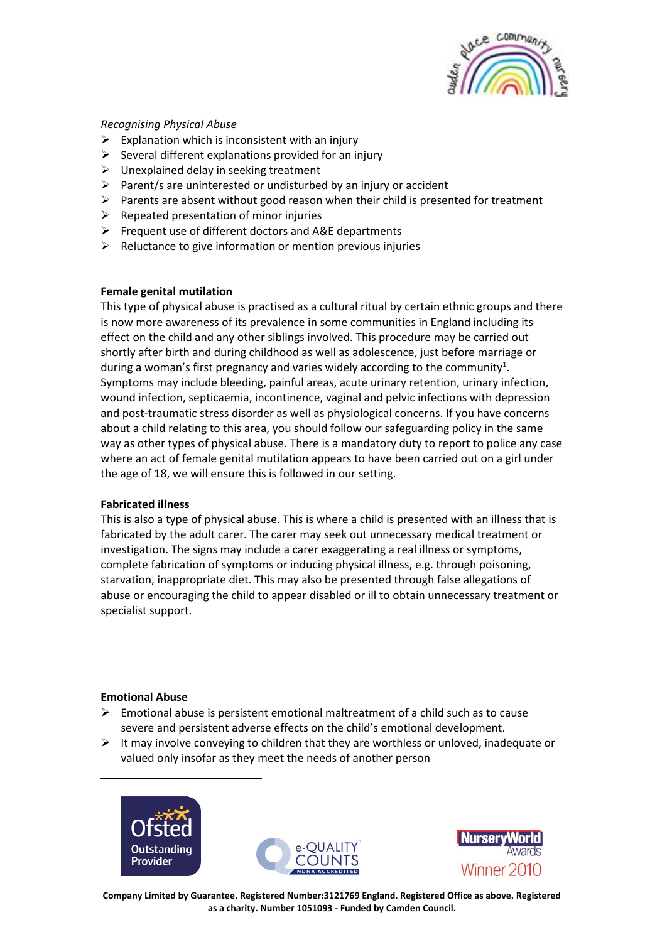

### *Recognising Physical Abuse*

- $\triangleright$  Explanation which is inconsistent with an injury
- $\triangleright$  Several different explanations provided for an injury
- $\triangleright$  Unexplained delay in seeking treatment
- $\triangleright$  Parent/s are uninterested or undisturbed by an injury or accident
- $\triangleright$  Parents are absent without good reason when their child is presented for treatment
- $\triangleright$  Repeated presentation of minor injuries
- ➢ Frequent use of different doctors and A&E departments
- $\triangleright$  Reluctance to give information or mention previous injuries

### **Female genital mutilation**

This type of physical abuse is practised as a cultural ritual by certain ethnic groups and there is now more awareness of its prevalence in some communities in England including its effect on the child and any other siblings involved. This procedure may be carried out shortly after birth and during childhood as well as adolescence, just before marriage or during a woman's first pregnancy and varies widely according to the community<sup>1</sup>. Symptoms may include bleeding, painful areas, acute urinary retention, urinary infection, wound infection, septicaemia, incontinence, vaginal and pelvic infections with depression and post-traumatic stress disorder as well as physiological concerns. If you have concerns about a child relating to this area, you should follow our safeguarding policy in the same way as other types of physical abuse. There is a mandatory duty to report to police any case where an act of female genital mutilation appears to have been carried out on a girl under the age of 18, we will ensure this is followed in our setting.

### **Fabricated illness**

This is also a type of physical abuse. This is where a child is presented with an illness that is fabricated by the adult carer. The carer may seek out unnecessary medical treatment or investigation. The signs may include a carer exaggerating a real illness or symptoms, complete fabrication of symptoms or inducing physical illness, e.g. through poisoning, starvation, inappropriate diet. This may also be presented through false allegations of abuse or encouraging the child to appear disabled or ill to obtain unnecessary treatment or specialist support.

### **Emotional Abuse**

1

- $\triangleright$  Emotional abuse is persistent emotional maltreatment of a child such as to cause severe and persistent adverse effects on the child's emotional development.
- $\triangleright$  It may involve conveying to children that they are worthless or unloved, inadequate or valued only insofar as they meet the needs of another person





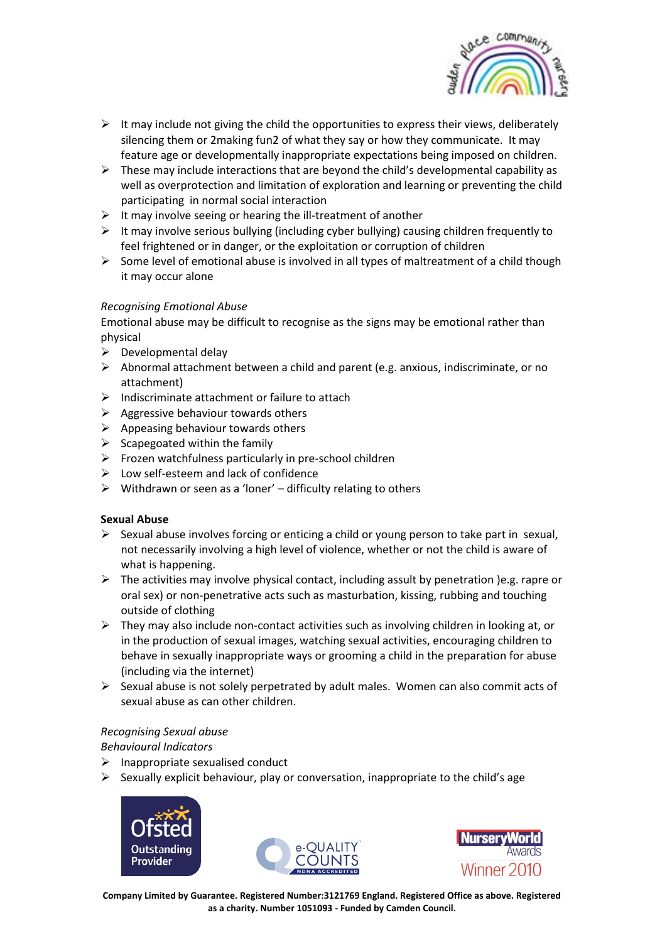

- $\triangleright$  It may include not giving the child the opportunities to express their views, deliberately silencing them or 2making fun2 of what they say or how they communicate. It may feature age or developmentally inappropriate expectations being imposed on children.
- $\triangleright$  These may include interactions that are beyond the child's developmental capability as well as overprotection and limitation of exploration and learning or preventing the child participating in normal social interaction
- $\triangleright$  It may involve seeing or hearing the ill-treatment of another
- $\triangleright$  It may involve serious bullying (including cyber bullying) causing children frequently to feel frightened or in danger, or the exploitation or corruption of children
- $\triangleright$  Some level of emotional abuse is involved in all types of maltreatment of a child though it may occur alone

# *Recognising Emotional Abuse*

Emotional abuse may be difficult to recognise as the signs may be emotional rather than physical

- $\triangleright$  Developmental delay
- $\triangleright$  Abnormal attachment between a child and parent (e.g. anxious, indiscriminate, or no attachment)
- $\triangleright$  Indiscriminate attachment or failure to attach
- $\triangleright$  Aggressive behaviour towards others
- $\triangleright$  Appeasing behaviour towards others
- $\triangleright$  Scapegoated within the family
- ➢ Frozen watchfulness particularly in pre-school children
- $\triangleright$  Low self-esteem and lack of confidence
- $\triangleright$  Withdrawn or seen as a 'loner' difficulty relating to others

# **Sexual Abuse**

- $\triangleright$  Sexual abuse involves forcing or enticing a child or young person to take part in sexual, not necessarily involving a high level of violence, whether or not the child is aware of what is happening.
- $\triangleright$  The activities may involve physical contact, including assult by penetration )e.g. rapre or oral sex) or non-penetrative acts such as masturbation, kissing, rubbing and touching outside of clothing
- $\triangleright$  They may also include non-contact activities such as involving children in looking at, or in the production of sexual images, watching sexual activities, encouraging children to behave in sexually inappropriate ways or grooming a child in the preparation for abuse (including via the internet)
- $\triangleright$  Sexual abuse is not solely perpetrated by adult males. Women can also commit acts of sexual abuse as can other children.

# *Recognising Sexual abuse*

# *Behavioural Indicators*

- $\triangleright$  Inappropriate sexualised conduct
- $\triangleright$  Sexually explicit behaviour, play or conversation, inappropriate to the child's age





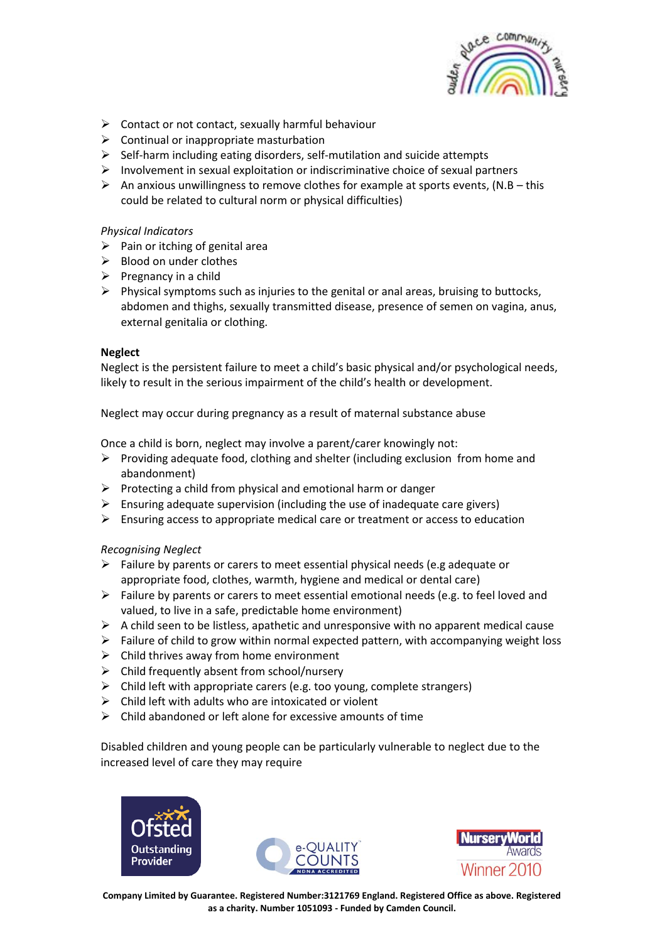

- $\triangleright$  Contact or not contact, sexually harmful behaviour
- $\triangleright$  Continual or inappropriate masturbation
- ➢ Self-harm including eating disorders, self-mutilation and suicide attempts
- $\triangleright$  Involvement in sexual exploitation or indiscriminative choice of sexual partners
- $\triangleright$  An anxious unwillingness to remove clothes for example at sports events, (N.B this could be related to cultural norm or physical difficulties)

### *Physical Indicators*

- $\triangleright$  Pain or itching of genital area
- ➢ Blood on under clothes
- $\triangleright$  Pregnancy in a child
- $\triangleright$  Physical symptoms such as injuries to the genital or anal areas, bruising to buttocks, abdomen and thighs, sexually transmitted disease, presence of semen on vagina, anus, external genitalia or clothing.

### **Neglect**

Neglect is the persistent failure to meet a child's basic physical and/or psychological needs, likely to result in the serious impairment of the child's health or development.

Neglect may occur during pregnancy as a result of maternal substance abuse

Once a child is born, neglect may involve a parent/carer knowingly not:

- ➢ Providing adequate food, clothing and shelter (including exclusion from home and abandonment)
- $\triangleright$  Protecting a child from physical and emotional harm or danger
- $\triangleright$  Ensuring adequate supervision (including the use of inadequate care givers)
- ➢ Ensuring access to appropriate medical care or treatment or access to education

### *Recognising Neglect*

- $\triangleright$  Failure by parents or carers to meet essential physical needs (e.g adequate or appropriate food, clothes, warmth, hygiene and medical or dental care)
- $\triangleright$  Failure by parents or carers to meet essential emotional needs (e.g. to feel loved and valued, to live in a safe, predictable home environment)
- $\triangleright$  A child seen to be listless, apathetic and unresponsive with no apparent medical cause
- $\triangleright$  Failure of child to grow within normal expected pattern, with accompanying weight loss
- $\triangleright$  Child thrives away from home environment
- $\triangleright$  Child frequently absent from school/nursery
- $\triangleright$  Child left with appropriate carers (e.g. too young, complete strangers)
- $\triangleright$  Child left with adults who are intoxicated or violent
- $\triangleright$  Child abandoned or left alone for excessive amounts of time

Disabled children and young people can be particularly vulnerable to neglect due to the increased level of care they may require